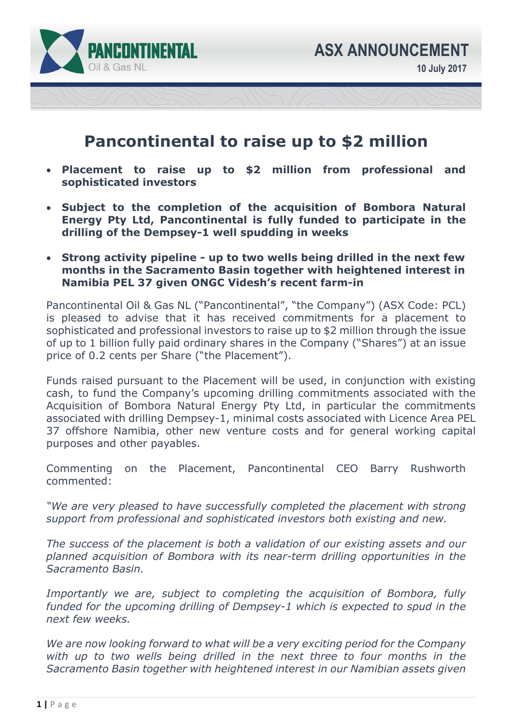

# **Pancontinental to raise up to \$2 million**

- **Placement to raise up to \$2 million from professional and sophisticated investors**
- **Subject to the completion of the acquisition of Bombora Natural Energy Pty Ltd, Pancontinental is fully funded to participate in the drilling of the Dempsey-1 well spudding in weeks**
- **Strong activity pipeline up to two wells being drilled in the next few months in the Sacramento Basin together with heightened interest in Namibia PEL 37 given ONGC Videsh's recent farm-in**

Pancontinental Oil & Gas NL ("Pancontinental", "the Company") (ASX Code: PCL) is pleased to advise that it has received commitments for a placement to sophisticated and professional investors to raise up to \$2 million through the issue of up to 1 billion fully paid ordinary shares in the Company ("Shares") at an issue price of 0.2 cents per Share ("the Placement").

Funds raised pursuant to the Placement will be used, in conjunction with existing cash, to fund the Company's upcoming drilling commitments associated with the Acquisition of Bombora Natural Energy Pty Ltd, in particular the commitments associated with drilling Dempsey-1, minimal costs associated with Licence Area PEL 37 offshore Namibia, other new venture costs and for general working capital purposes and other payables.

Commenting on the Placement, Pancontinental CEO Barry Rushworth commented:

*"We are very pleased to have successfully completed the placement with strong support from professional and sophisticated investors both existing and new.* 

*The success of the placement is both a validation of our existing assets and our planned acquisition of Bombora with its near-term drilling opportunities in the Sacramento Basin.* 

*Importantly we are, subject to completing the acquisition of Bombora, fully funded for the upcoming drilling of Dempsey-1 which is expected to spud in the next few weeks.* 

*We are now looking forward to what will be a very exciting period for the Company*  with up to two wells being drilled in the next three to four months in the *Sacramento Basin together with heightened interest in our Namibian assets given*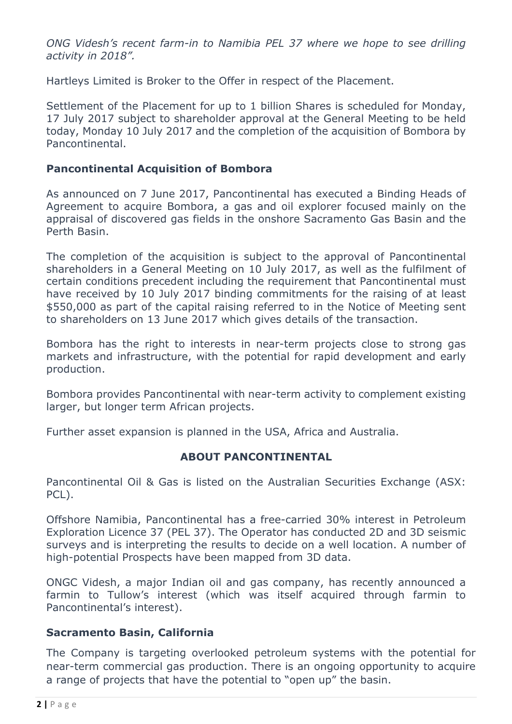*ONG Videsh's recent farm-in to Namibia PEL 37 where we hope to see drilling activity in 2018".* 

Hartleys Limited is Broker to the Offer in respect of the Placement.

Settlement of the Placement for up to 1 billion Shares is scheduled for Monday, 17 July 2017 subject to shareholder approval at the General Meeting to be held today, Monday 10 July 2017 and the completion of the acquisition of Bombora by Pancontinental.

### **Pancontinental Acquisition of Bombora**

As announced on 7 June 2017, Pancontinental has executed a Binding Heads of Agreement to acquire Bombora, a gas and oil explorer focused mainly on the appraisal of discovered gas fields in the onshore Sacramento Gas Basin and the Perth Basin.

The completion of the acquisition is subject to the approval of Pancontinental shareholders in a General Meeting on 10 July 2017, as well as the fulfilment of certain conditions precedent including the requirement that Pancontinental must have received by 10 July 2017 binding commitments for the raising of at least \$550,000 as part of the capital raising referred to in the Notice of Meeting sent to shareholders on 13 June 2017 which gives details of the transaction.

Bombora has the right to interests in near-term projects close to strong gas markets and infrastructure, with the potential for rapid development and early production.

Bombora provides Pancontinental with near-term activity to complement existing larger, but longer term African projects.

Further asset expansion is planned in the USA, Africa and Australia.

#### **ABOUT PANCONTINENTAL**

Pancontinental Oil & Gas is listed on the Australian Securities Exchange (ASX: PCL).

Offshore Namibia, Pancontinental has a free-carried 30% interest in Petroleum Exploration Licence 37 (PEL 37). The Operator has conducted 2D and 3D seismic surveys and is interpreting the results to decide on a well location. A number of high-potential Prospects have been mapped from 3D data.

ONGC Videsh, a major Indian oil and gas company, has recently announced a farmin to Tullow's interest (which was itself acquired through farmin to Pancontinental's interest).

#### **Sacramento Basin, California**

The Company is targeting overlooked petroleum systems with the potential for near-term commercial gas production. There is an ongoing opportunity to acquire a range of projects that have the potential to "open up" the basin.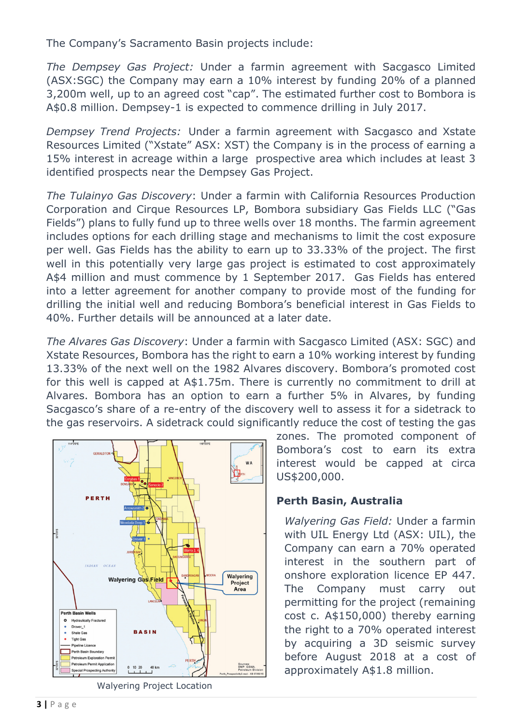The Company's Sacramento Basin projects include:

*The Dempsey Gas Project:* Under a farmin agreement with Sacgasco Limited (ASX:SGC) the Company may earn a 10% interest by funding 20% of a planned 3,200m well, up to an agreed cost "cap". The estimated further cost to Bombora is A\$0.8 million. Dempsey-1 is expected to commence drilling in July 2017.

*Dempsey Trend Projects:* Under a farmin agreement with Sacgasco and Xstate Resources Limited ("Xstate" ASX: XST) the Company is in the process of earning a 15% interest in acreage within a large prospective area which includes at least 3 identified prospects near the Dempsey Gas Project.

*The Tulainyo Gas Discovery*: Under a farmin with California Resources Production Corporation and Cirque Resources LP, Bombora subsidiary Gas Fields LLC ("Gas Fields") plans to fully fund up to three wells over 18 months. The farmin agreement includes options for each drilling stage and mechanisms to limit the cost exposure per well. Gas Fields has the ability to earn up to 33.33% of the project. The first well in this potentially very large gas project is estimated to cost approximately A\$4 million and must commence by 1 September 2017. Gas Fields has entered into a letter agreement for another company to provide most of the funding for drilling the initial well and reducing Bombora's beneficial interest in Gas Fields to 40%. Further details will be announced at a later date.

*The Alvares Gas Discovery*: Under a farmin with Sacgasco Limited (ASX: SGC) and Xstate Resources, Bombora has the right to earn a 10% working interest by funding 13.33% of the next well on the 1982 Alvares discovery. Bombora's promoted cost for this well is capped at A\$1.75m. There is currently no commitment to drill at Alvares. Bombora has an option to earn a further 5% in Alvares, by funding Sacgasco's share of a re-entry of the discovery well to assess it for a sidetrack to the gas reservoirs. A sidetrack could significantly reduce the cost of testing the gas



Walyering Project Location

zones. The promoted component of Bombora's cost to earn its extra interest would be capped at circa US\$200,000.

## **Perth Basin, Australia**

*Walyering Gas Field:* Under a farmin with UIL Energy Ltd (ASX: UIL), the Company can earn a 70% operated interest in the southern part of onshore exploration licence EP 447. The Company must carry out permitting for the project (remaining cost c. A\$150,000) thereby earning the right to a 70% operated interest by acquiring a 3D seismic survey before August 2018 at a cost of approximately A\$1.8 million.